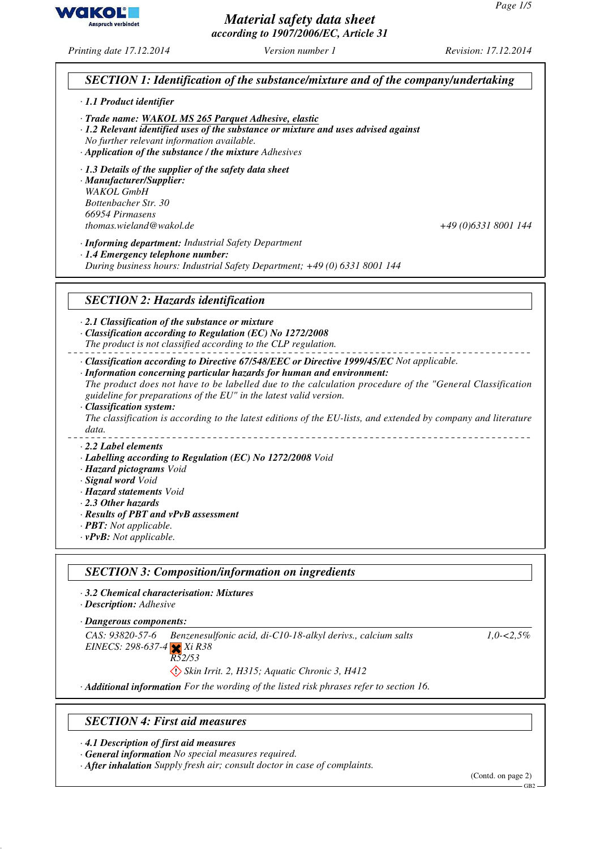*Material safety data sheet according to 1907/2006/EC, Article 31*

*Printing date 17.12.2014 Version number 1 Revision: 17.12.2014*

# *SECTION 1: Identification of the substance/mixture and of the company/undertaking*

- *· 1.1 Product identifier*
- *· Trade name: WAKOL MS 265 Parquet Adhesive, elastic*
- *· 1.2 Relevant identified uses of the substance or mixture and uses advised against*
- *No further relevant information available.*
- *· Application of the substance / the mixture Adhesives*
- *· 1.3 Details of the supplier of the safety data sheet*

*· Manufacturer/Supplier: WAKOL GmbH Bottenbacher Str. 30 66954 Pirmasens thomas.wieland@wakol.de +49 (0)6331 8001 144*

*· Informing department: Industrial Safety Department*

*· 1.4 Emergency telephone number:*

*During business hours: Industrial Safety Department; +49 (0) 6331 8001 144*

### *SECTION 2: Hazards identification*

*· 2.1 Classification of the substance or mixture*

- *· Classification according to Regulation (EC) No 1272/2008*
- *The product is not classified according to the CLP regulation.*

*· Classification according to Directive 67/548/EEC or Directive 1999/45/EC Not applicable.*

*· Information concerning particular hazards for human and environment:*

*The product does not have to be labelled due to the calculation procedure of the "General Classification guideline for preparations of the EU" in the latest valid version.*

*· Classification system:*

*The classification is according to the latest editions of the EU-lists, and extended by company and literature data.*

*· 2.2 Label elements*

- *· Labelling according to Regulation (EC) No 1272/2008 Void*
- *· Hazard pictograms Void*
- *· Signal word Void*
- *· Hazard statements Void*
- *· 2.3 Other hazards*
- *· Results of PBT and vPvB assessment*
- *· PBT: Not applicable.*
- *· vPvB: Not applicable.*

#### *SECTION 3: Composition/information on ingredients*

- *· 3.2 Chemical characterisation: Mixtures*
- *· Description: Adhesive*
- *Dangerous components: ·*

*CAS: 93820-57-6 EINECS: 298-637-4 Xi R38 Benzenesulfonic acid, di-C10-18-alkyl derivs., calcium salts* *1,0-<2,5%*

- *R52/53*
	- *Skin Irrit. 2, H315; Aquatic Chronic 3, H412*

*· Additional information For the wording of the listed risk phrases refer to section 16.*

#### *SECTION 4: First aid measures*

*· 4.1 Description of first aid measures*

*· General information No special measures required.*

*· After inhalation Supply fresh air; consult doctor in case of complaints.*

(Contd. on page 2)



 $-$ GB<sub>2</sub>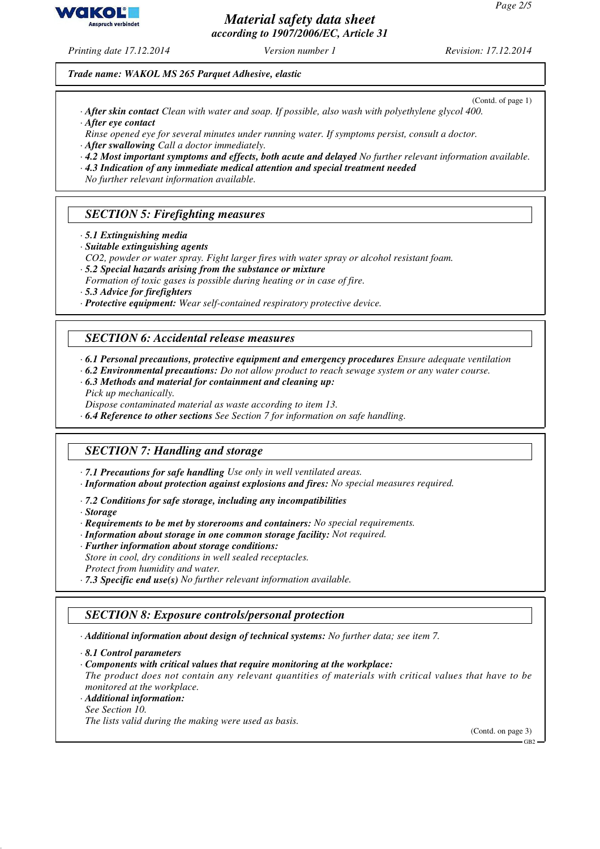*Material safety data sheet according to 1907/2006/EC, Article 31*

*Printing date 17.12.2014 Version number 1 Revision: 17.12.2014*

*Trade name: WAKOL MS 265 Parquet Adhesive, elastic*

- (Contd. of page 1) *· After skin contact Clean with water and soap. If possible, also wash with polyethylene glycol 400. · After eye contact*
- *Rinse opened eye for several minutes under running water. If symptoms persist, consult a doctor.*
- *· After swallowing Call a doctor immediately.*
- *· 4.2 Most important symptoms and effects, both acute and delayed No further relevant information available.*
- *· 4.3 Indication of any immediate medical attention and special treatment needed*
- *No further relevant information available.*

# *SECTION 5: Firefighting measures*

- *· 5.1 Extinguishing media*
- *· Suitable extinguishing agents*
- *CO2, powder or water spray. Fight larger fires with water spray or alcohol resistant foam.*
- *· 5.2 Special hazards arising from the substance or mixture*
- *Formation of toxic gases is possible during heating or in case of fire.*
- *· 5.3 Advice for firefighters*
- *· Protective equipment: Wear self-contained respiratory protective device.*

#### *SECTION 6: Accidental release measures*

*· 6.1 Personal precautions, protective equipment and emergency procedures Ensure adequate ventilation*

- *· 6.2 Environmental precautions: Do not allow product to reach sewage system or any water course.*
- *· 6.3 Methods and material for containment and cleaning up:*
- *Pick up mechanically.*
- *Dispose contaminated material as waste according to item 13.*
- *· 6.4 Reference to other sections See Section 7 for information on safe handling.*

# *SECTION 7: Handling and storage*

- *· 7.1 Precautions for safe handling Use only in well ventilated areas.*
- *· Information about protection against explosions and fires: No special measures required.*
- *· 7.2 Conditions for safe storage, including any incompatibilities*
- *· Storage*
- *· Requirements to be met by storerooms and containers: No special requirements.*
- *· Information about storage in one common storage facility: Not required.*
- *· Further information about storage conditions:*
- *Store in cool, dry conditions in well sealed receptacles.*
- *Protect from humidity and water.*

*· 7.3 Specific end use(s) No further relevant information available.*

# *SECTION 8: Exposure controls/personal protection*

- *· Additional information about design of technical systems: No further data; see item 7.*
- *· 8.1 Control parameters*
- *· Components with critical values that require monitoring at the workplace:*
- *The product does not contain any relevant quantities of materials with critical values that have to be monitored at the workplace.*
- *· Additional information:*
- *See Section 10.*

*The lists valid during the making were used as basis.*

(Contd. on page 3)

 $-$ GB2

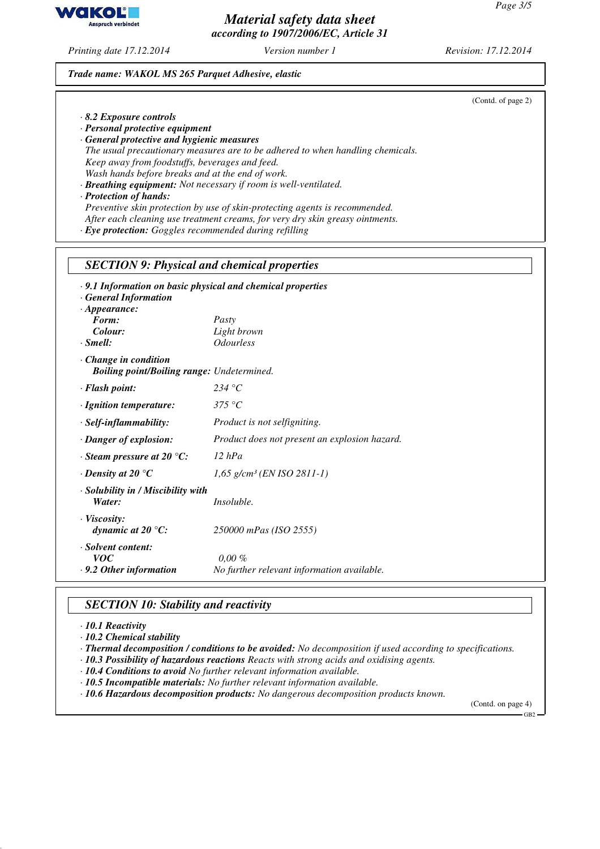*Material safety data sheet according to 1907/2006/EC, Article 31*

*Printing date 17.12.2014 Version number 1 Revision: 17.12.2014*

#### *Trade name: WAKOL MS 265 Parquet Adhesive, elastic*

| $\cdot$ 8.2 Exposure controls<br>· Personal protective equipment<br>· General protective and hygienic measures<br>Keep away from foodstuffs, beverages and feed.<br>Wash hands before breaks and at the end of work.<br>· Protection of hands:<br>· Eye protection: Goggles recommended during refilling | The usual precautionary measures are to be adhered to when handling chemicals.<br>· Breathing equipment: Not necessary if room is well-ventilated.<br>Preventive skin protection by use of skin-protecting agents is recommended.<br>After each cleaning use treatment creams, for very dry skin greasy ointments. |
|----------------------------------------------------------------------------------------------------------------------------------------------------------------------------------------------------------------------------------------------------------------------------------------------------------|--------------------------------------------------------------------------------------------------------------------------------------------------------------------------------------------------------------------------------------------------------------------------------------------------------------------|
| <b>SECTION 9: Physical and chemical properties</b>                                                                                                                                                                                                                                                       |                                                                                                                                                                                                                                                                                                                    |
| · 9.1 Information on basic physical and chemical properties<br><b>General Information</b><br>$\cdot$ Appearance:<br>Form:<br>Colour:<br>$\cdot$ Smell:                                                                                                                                                   | Pasty<br>Light brown<br><i><b>Odourless</b></i>                                                                                                                                                                                                                                                                    |
| $\cdot$ Change in condition<br><b>Boiling point/Boiling range:</b> Undetermined.                                                                                                                                                                                                                         |                                                                                                                                                                                                                                                                                                                    |
| · Flash point:                                                                                                                                                                                                                                                                                           | 234 °C                                                                                                                                                                                                                                                                                                             |
| · Ignition temperature:                                                                                                                                                                                                                                                                                  | 375 °C                                                                                                                                                                                                                                                                                                             |
| $\cdot$ Self-inflammability:                                                                                                                                                                                                                                                                             | Product is not selfigniting.                                                                                                                                                                                                                                                                                       |
| · Danger of explosion:                                                                                                                                                                                                                                                                                   | Product does not present an explosion hazard.                                                                                                                                                                                                                                                                      |
| $\cdot$ Steam pressure at 20 $\degree$ C:                                                                                                                                                                                                                                                                | $12$ hPa                                                                                                                                                                                                                                                                                                           |
| $\cdot$ Density at 20 $\mathrm{^{\circ}C}$                                                                                                                                                                                                                                                               | $1,65$ g/cm <sup>3</sup> (EN ISO 2811-1)                                                                                                                                                                                                                                                                           |
| · Solubility in / Miscibility with<br>Water:                                                                                                                                                                                                                                                             | Insoluble.                                                                                                                                                                                                                                                                                                         |
| · Viscosity:<br>dynamic at 20 $\mathrm{C}$ :                                                                                                                                                                                                                                                             | 250000 mPas (ISO 2555)                                                                                                                                                                                                                                                                                             |
| · Solvent content:<br><i>voc</i><br>$\cdot$ 9.2 Other information                                                                                                                                                                                                                                        | $0,00\%$<br>No further relevant information available.                                                                                                                                                                                                                                                             |

# *SECTION 10: Stability and reactivity*

*· 10.1 Reactivity*

*· 10.2 Chemical stability*

*· Thermal decomposition / conditions to be avoided: No decomposition if used according to specifications.*

*· 10.3 Possibility of hazardous reactions Reacts with strong acids and oxidising agents.*

*· 10.4 Conditions to avoid No further relevant information available.*

*· 10.5 Incompatible materials: No further relevant information available.*

*· 10.6 Hazardous decomposition products: No dangerous decomposition products known.*

(Contd. on page 4)

 $-GB2$ 



(Contd. of page 2)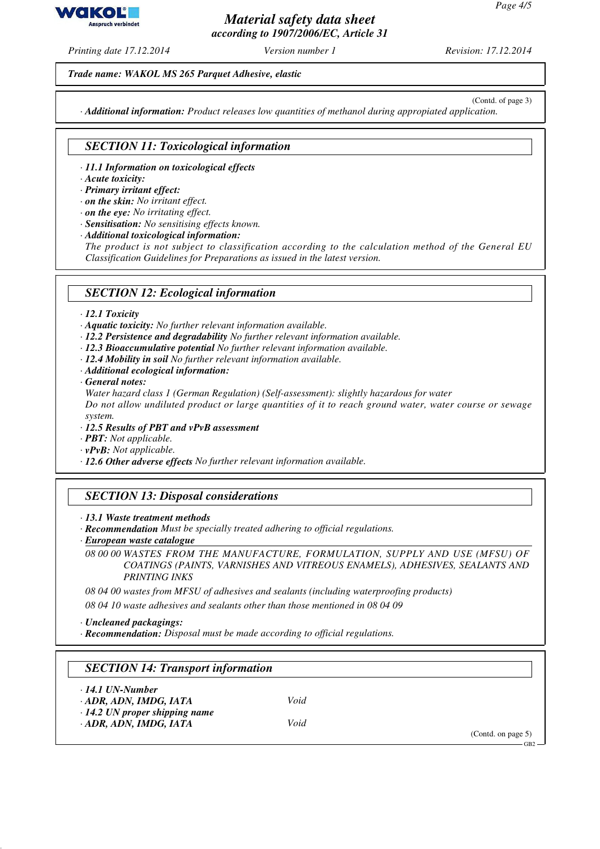vako **Anspruch verbindet** 

### *Material safety data sheet according to 1907/2006/EC, Article 31*

*Printing date 17.12.2014 Version number 1 Revision: 17.12.2014*

*Trade name: WAKOL MS 265 Parquet Adhesive, elastic*

(Contd. of page 3) *· Additional information: Product releases low quantities of methanol during appropiated application.*

# *SECTION 11: Toxicological information*

- *· 11.1 Information on toxicological effects*
- *· Acute toxicity:*
- *· Primary irritant effect:*
- *· on the skin: No irritant effect.*
- *· on the eye: No irritating effect.*
- *· Sensitisation: No sensitising effects known.*
- *· Additional toxicological information:*

*The product is not subject to classification according to the calculation method of the General EU Classification Guidelines for Preparations as issued in the latest version.*

### *SECTION 12: Ecological information*

*· 12.1 Toxicity*

*· Aquatic toxicity: No further relevant information available.*

- *· 12.2 Persistence and degradability No further relevant information available.*
- *· 12.3 Bioaccumulative potential No further relevant information available.*
- *· 12.4 Mobility in soil No further relevant information available.*
- *· Additional ecological information:*
- *· General notes:*

*Water hazard class 1 (German Regulation) (Self-assessment): slightly hazardous for water*

*Do not allow undiluted product or large quantities of it to reach ground water, water course or sewage system.*

- *· 12.5 Results of PBT and vPvB assessment*
- *· PBT: Not applicable.*
- *· vPvB: Not applicable.*
- *· 12.6 Other adverse effects No further relevant information available.*

# *SECTION 13: Disposal considerations*

- *· 13.1 Waste treatment methods*
- *· Recommendation Must be specially treated adhering to official regulations.*
- *European waste catalogue ·*

*08 00 00 WASTES FROM THE MANUFACTURE, FORMULATION, SUPPLY AND USE (MFSU) OF COATINGS (PAINTS, VARNISHES AND VITREOUS ENAMELS), ADHESIVES, SEALANTS AND PRINTING INKS*

*08 04 00 wastes from MFSU of adhesives and sealants (including waterproofing products)*

*08 04 10 waste adhesives and sealants other than those mentioned in 08 04 09*

*· Uncleaned packagings:*

*· Recommendation: Disposal must be made according to official regulations.*

#### *SECTION 14: Transport information*

| $\cdot$ 14.1 UN-Number |      |
|------------------------|------|
| · ADR, ADN, IMDG, IATA | Void |

*· 14.2 UN proper shipping name · ADR, ADN, IMDG, IATA Void*

(Contd. on page 5)

GB2